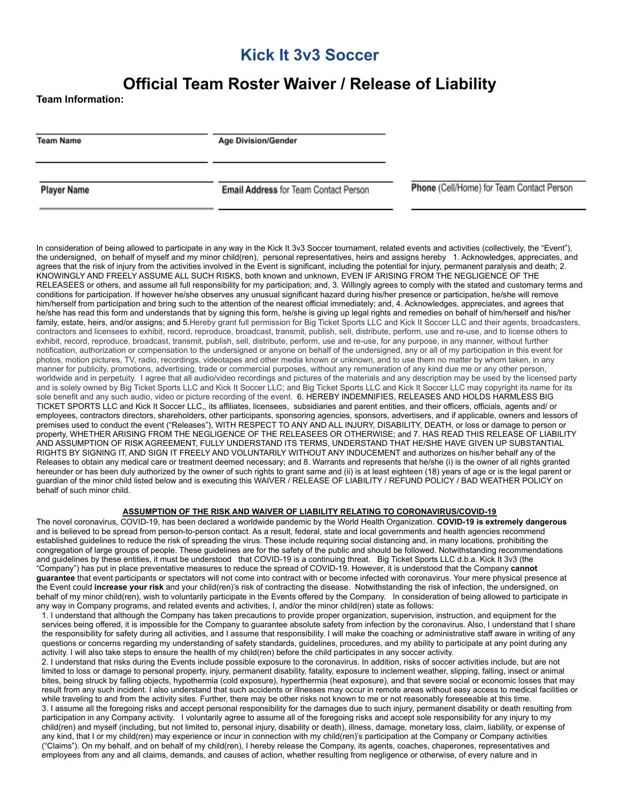## **Kick It 3v3 Soccer**

# **Official Team Roster Waiver / Release of Liability**

**Team Information:**

**Team Name** 

**Age Division/Gender** 

**Player Name** 

**Email Address for Team Contact Person** 

Phone (Cell/Home) for Team Contact Person

In consideration of being allowed to participate in any way in the Kick It 3v3 Soccer tournament, related events and activities (collectively, the "Event"), the undersigned, on behalf of myself and my minor child(ren), personal representatives, heirs and assigns hereby 1. Acknowledges, appreciates, and agrees that the risk of injury from the activities involved in the Event is significant, including the potential for injury, permanent paralysis and death; 2. KNOWINGLY AND FREELY ASSUME ALL SUCH RISKS, both known and unknown, EVEN IF ARISING FROM THE NEGLIGENCE OF THE RELEASEES or others, and assume all full responsibility for my participation; and, 3. Willingly agrees to comply with the stated and customary terms and conditions for participation. If however he/she observes any unusual significant hazard during his/her presence or participation, he/she will remove him/herself from participation and bring such to the attention of the nearest official immediately; and, 4. Acknowledges, appreciates, and agrees that he/she has read this form and understands that by signing this form, he/she is giving up legal rights and remedies on behalf of him/herself and his/her family, estate, heirs, and/or assigns; and 5.Hereby grant full permission for Big Ticket Sports LLC and Kick It Soccer LLC and their agents, broadcasters, contractors and licensees to exhibit, record, reproduce, broadcast, transmit, publish, sell, distribute, perform, use and re-use, and to license others to exhibit, record, reproduce, broadcast, transmit, publish, sell, distribute, perform, use and re-use, for any purpose, in any manner, without further notification, authorization or compensation to the undersigned or anyone on behalf of the undersigned, any or all of my participation in this event for photos, motion pictures, TV, radio, recordings, videotapes and other media known or unknown, and to use them no matter by whom taken, in any manner for publicity, promotions, advertising, trade or commercial purposes, without any remuneration of any kind due me or any other person, worldwide and in perpetuity. I agree that all audio/video recordings and pictures of the materials and any description may be used by the licensed party and is solely owned by Big Ticket Sports LLC and Kick It Soccer LLC; and Big Ticket Sports LLC and Kick It Soccer LLC may copyright its name for its sole benefit and any such audio, video or picture recording of the event. 6. HEREBY INDEMNIFIES, RELEASES AND HOLDS HARMLESS BIG TICKET SPORTS LLC and Kick It Soccer LLC,, its affiliates, licensees, subsidiaries and parent entities, and their officers, officials, agents and/ or employees, contractors directors, shareholders, other participants, sponsoring agencies, sponsors, advertisers, and if applicable, owners and lessors of premises used to conduct the event ("Releases"), WITH RESPECT TO ANY AND ALL INJURY, DISABILITY, DEATH, or loss or damage to person or property, WHETHER ARISING FROM THE NEGLIGENCE OF THE RELEASEES OR OTHERWISE; and 7. HAS READ THIS RELEASE OF LIABILITY AND ASSUMPTION OF RISK AGREEMENT, FULLY UNDERSTAND ITS TERMS, UNDERSTAND THAT HE/SHE HAVE GIVEN UP SUBSTANTIAL RIGHTS BY SIGNING IT, AND SIGN IT FREELY AND VOLUNTARILY WITHOUT ANY INDUCEMENT and authorizes on his/her behalf any of the Releases to obtain any medical care or treatment deemed necessary; and 8. Warrants and represents that he/she (i) is the owner of all rights granted hereunder or has been duly authorized by the owner of such rights to grant same and (ii) is at least eighteen (18) years of age or is the legal parent or guardian of the minor child listed below and is executing this WAIVER / RELEASE OF LIABILITY / REFUND POLICY / BAD WEATHER POLICY on behalf of such minor child.

### **ASSUMPTION OF THE RISK AND WAIVER OF LIABILITY RELATING TO CORONAVIRUS/COVID-19**

The novel coronavirus, COVID-19, has been declared a worldwide pandemic by the World Health Organization. **COVID-19 is extremely dangerous** and is believed to be spread from person-to-person contact. As a result, federal, state and local governments and health agencies recommend established guidelines to reduce the risk of spreading the virus. These include requiring social distancing and, in many locations, prohibiting the congregation of large groups of people. These guidelines are for the safety of the public and should be followed. Notwithstanding recommendations and guidelines by these entities, it must be understood that COVID-19 is a continuing threat. Big Ticket Sports LLC d.b.a. Kick It 3v3 (the "Company") has put in place preventative measures to reduce the spread of COVID-19. However, it is understood that the Company **cannot guarantee** that event participants or spectators will not come into contract with or become infected with coronavirus. Your mere physical presence at the Event could **increase your risk** and your child(ren)'s risk of contracting the disease. Notwithstanding the risk of infection, the undersigned, on behalf of my minor child(ren), wish to voluntarily participate in the Events offered by the Company. In consideration of being allowed to participate in any way in Company programs, and related events and activities, I, and/or the minor child(ren) state as follows:

1. I understand that although the Company has taken precautions to provide proper organization, supervision, instruction, and equipment for the services being offered, it is impossible for the Company to guarantee absolute safety from infection by the coronavirus. Also, I understand that I share the responsibility for safety during all activities, and I assume that responsibility. I will make the coaching or administrative staff aware in writing of any questions or concerns regarding my understanding of safety standards, guidelines, procedures, and my ability to participate at any point during any activity. I will also take steps to ensure the health of my child(ren) before the child participates in any soccer activity.

2. I understand that risks during the Events include possible exposure to the coronavirus. In addition, risks of soccer activities include, but are not limited to loss or damage to personal property, injury, permanent disability, fatality, exposure to inclement weather, slipping, falling, insect or animal bites, being struck by falling objects, hypothermia (cold exposure), hyperthermia (heat exposure), and that severe social or economic losses that may result from any such incident. I also understand that such accidents or illnesses may occur in remote areas without easy access to medical facilities or while traveling to and from the activity sites. Further, there may be other risks not known to me or not reasonably foreseeable at this time. 3. I assume all the foregoing risks and accept personal responsibility for the damages due to such injury, permanent disability or death resulting from participation in any Company activity. I voluntarily agree to assume all of the foregoing risks and accept sole responsibility for any injury to my child(ren) and myself (including, but not limited to, personal injury, disability or death), illness, damage, monetary loss, claim, liability, or expense of any kind, that I or my child(ren) may experience or incur in connection with my child(ren)'s participation at the Company or Company activities ("Claims"). On my behalf, and on behalf of my child(ren), I hereby release the Company, its agents, coaches, chaperones, representatives and employees from any and all claims, demands, and causes of action, whether resulting from negligence or otherwise, of every nature and in